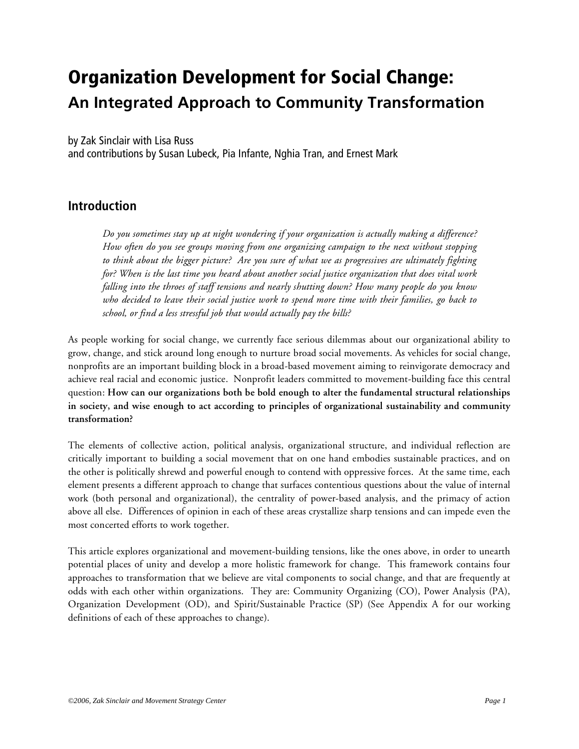# **Organization Development for Social Change: An Integrated Approach to Community Transformation**

by Zak Sinclair with Lisa Russ

and contributions by Susan Lubeck, Pia Infante, Nghia Tran, and Ernest Mark

# **Introduction**

*Do you sometimes stay up at night wondering if your organization is actually making a difference? How often do you see groups moving from one organizing campaign to the next without stopping to think about the bigger picture? Are you sure of what we as progressives are ultimately fighting for? When is the last time you heard about another social justice organization that does vital work falling into the throes of staff tensions and nearly shutting down? How many people do you know who decided to leave their social justice work to spend more time with their families, go back to school, or find a less stressful job that would actually pay the bills?* 

As people working for social change, we currently face serious dilemmas about our organizational ability to grow, change, and stick around long enough to nurture broad social movements. As vehicles for social change, nonprofits are an important building block in a broad-based movement aiming to reinvigorate democracy and achieve real racial and economic justice. Nonprofit leaders committed to movement-building face this central question: **How can our organizations both be bold enough to alter the fundamental structural relationships in society, and wise enough to act according to principles of organizational sustainability and community transformation?** 

The elements of collective action, political analysis, organizational structure, and individual reflection are critically important to building a social movement that on one hand embodies sustainable practices, and on the other is politically shrewd and powerful enough to contend with oppressive forces. At the same time, each element presents a different approach to change that surfaces contentious questions about the value of internal work (both personal and organizational), the centrality of power-based analysis, and the primacy of action above all else. Differences of opinion in each of these areas crystallize sharp tensions and can impede even the most concerted efforts to work together.

This article explores organizational and movement-building tensions, like the ones above, in order to unearth potential places of unity and develop a more holistic framework for change. This framework contains four approaches to transformation that we believe are vital components to social change, and that are frequently at odds with each other within organizations. They are: Community Organizing (CO), Power Analysis (PA), Organization Development (OD), and Spirit/Sustainable Practice (SP) (See Appendix A for our working definitions of each of these approaches to change).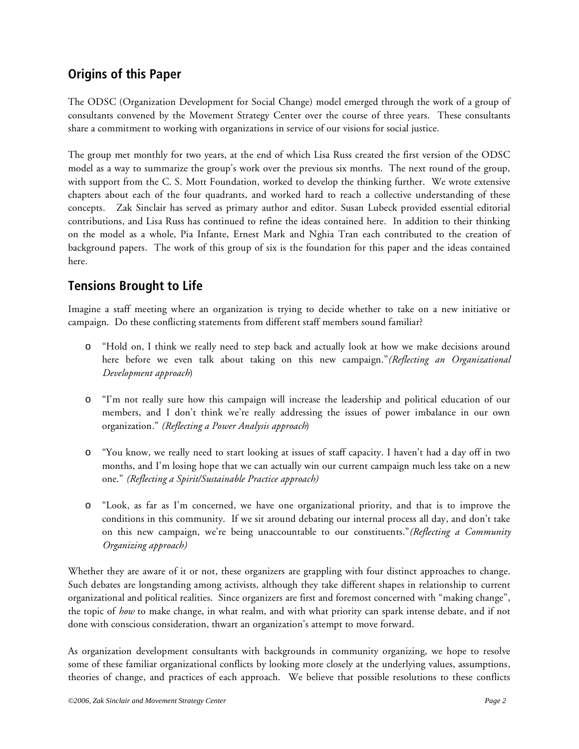# **Origins of this Paper**

The ODSC (Organization Development for Social Change) model emerged through the work of a group of consultants convened by the Movement Strategy Center over the course of three years. These consultants share a commitment to working with organizations in service of our visions for social justice.

The group met monthly for two years, at the end of which Lisa Russ created the first version of the ODSC model as a way to summarize the group's work over the previous six months. The next round of the group, with support from the C. S. Mott Foundation, worked to develop the thinking further. We wrote extensive chapters about each of the four quadrants, and worked hard to reach a collective understanding of these concepts. Zak Sinclair has served as primary author and editor. Susan Lubeck provided essential editorial contributions, and Lisa Russ has continued to refine the ideas contained here. In addition to their thinking on the model as a whole, Pia Infante, Ernest Mark and Nghia Tran each contributed to the creation of background papers. The work of this group of six is the foundation for this paper and the ideas contained here.

# **Tensions Brought to Life**

Imagine a staff meeting where an organization is trying to decide whether to take on a new initiative or campaign. Do these conflicting statements from different staff members sound familiar?

- o "Hold on, I think we really need to step back and actually look at how we make decisions around here before we even talk about taking on this new campaign."*(Reflecting an Organizational Development approach*)
- o "I'm not really sure how this campaign will increase the leadership and political education of our members, and I don't think we're really addressing the issues of power imbalance in our own organization." *(Reflecting a Power Analysis approach*)
- o "You know, we really need to start looking at issues of staff capacity. I haven't had a day off in two months, and I'm losing hope that we can actually win our current campaign much less take on a new one." *(Reflecting a Spirit/Sustainable Practice approach)*
- o "Look, as far as I'm concerned, we have one organizational priority, and that is to improve the conditions in this community. If we sit around debating our internal process all day, and don't take on this new campaign, we're being unaccountable to our constituents."*(Reflecting a Community Organizing approach)*

Whether they are aware of it or not, these organizers are grappling with four distinct approaches to change. Such debates are longstanding among activists, although they take different shapes in relationship to current organizational and political realities. Since organizers are first and foremost concerned with "making change", the topic of *how* to make change, in what realm, and with what priority can spark intense debate, and if not done with conscious consideration, thwart an organization's attempt to move forward.

As organization development consultants with backgrounds in community organizing, we hope to resolve some of these familiar organizational conflicts by looking more closely at the underlying values, assumptions, theories of change, and practices of each approach. We believe that possible resolutions to these conflicts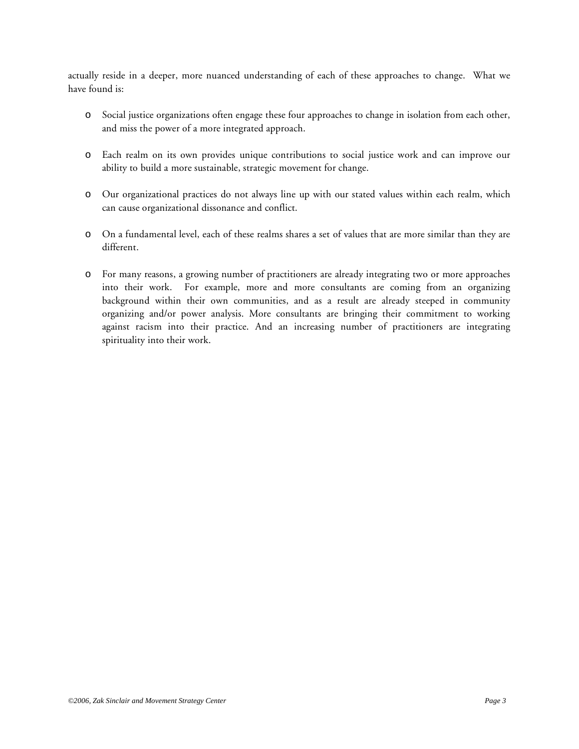actually reside in a deeper, more nuanced understanding of each of these approaches to change. What we have found is:

- o Social justice organizations often engage these four approaches to change in isolation from each other, and miss the power of a more integrated approach.
- o Each realm on its own provides unique contributions to social justice work and can improve our ability to build a more sustainable, strategic movement for change.
- o Our organizational practices do not always line up with our stated values within each realm, which can cause organizational dissonance and conflict.
- o On a fundamental level, each of these realms shares a set of values that are more similar than they are different.
- o For many reasons, a growing number of practitioners are already integrating two or more approaches into their work. For example, more and more consultants are coming from an organizing background within their own communities, and as a result are already steeped in community organizing and/or power analysis. More consultants are bringing their commitment to working against racism into their practice. And an increasing number of practitioners are integrating spirituality into their work.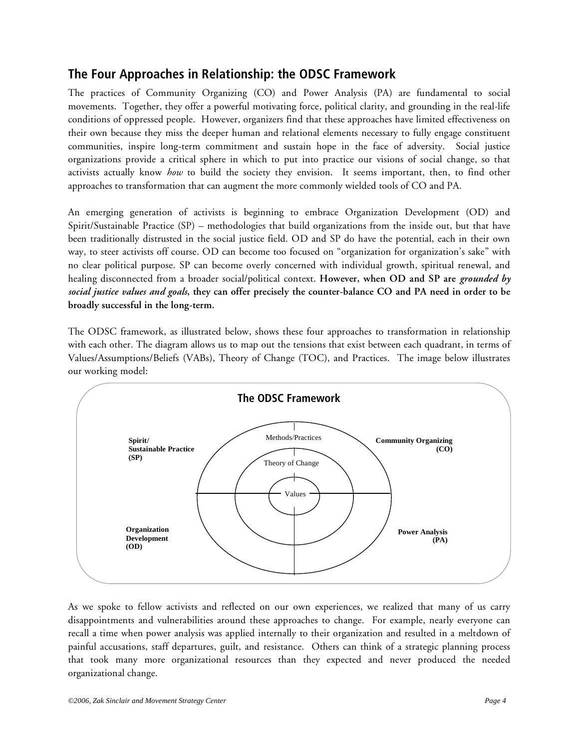# **The Four Approaches in Relationship: the ODSC Framework**

The practices of Community Organizing (CO) and Power Analysis (PA) are fundamental to social movements. Together, they offer a powerful motivating force, political clarity, and grounding in the real-life conditions of oppressed people. However, organizers find that these approaches have limited effectiveness on their own because they miss the deeper human and relational elements necessary to fully engage constituent communities, inspire long-term commitment and sustain hope in the face of adversity. Social justice organizations provide a critical sphere in which to put into practice our visions of social change, so that activists actually know *how* to build the society they envision. It seems important, then, to find other approaches to transformation that can augment the more commonly wielded tools of CO and PA.

An emerging generation of activists is beginning to embrace Organization Development (OD) and Spirit/Sustainable Practice (SP) – methodologies that build organizations from the inside out, but that have been traditionally distrusted in the social justice field. OD and SP do have the potential, each in their own way, to steer activists off course. OD can become too focused on "organization for organization's sake" with no clear political purpose. SP can become overly concerned with individual growth, spiritual renewal, and healing disconnected from a broader social/political context. **However, when OD and SP are** *grounded by social justice values and goals***, they can offer precisely the counter-balance CO and PA need in order to be broadly successful in the long-term.** 

The ODSC framework, as illustrated below, shows these four approaches to transformation in relationship with each other. The diagram allows us to map out the tensions that exist between each quadrant, in terms of Values/Assumptions/Beliefs (VABs), Theory of Change (TOC), and Practices. The image below illustrates our working model:



As we spoke to fellow activists and reflected on our own experiences, we realized that many of us carry disappointments and vulnerabilities around these approaches to change. For example, nearly everyone can recall a time when power analysis was applied internally to their organization and resulted in a meltdown of painful accusations, staff departures, guilt, and resistance. Others can think of a strategic planning process that took many more organizational resources than they expected and never produced the needed organizational change.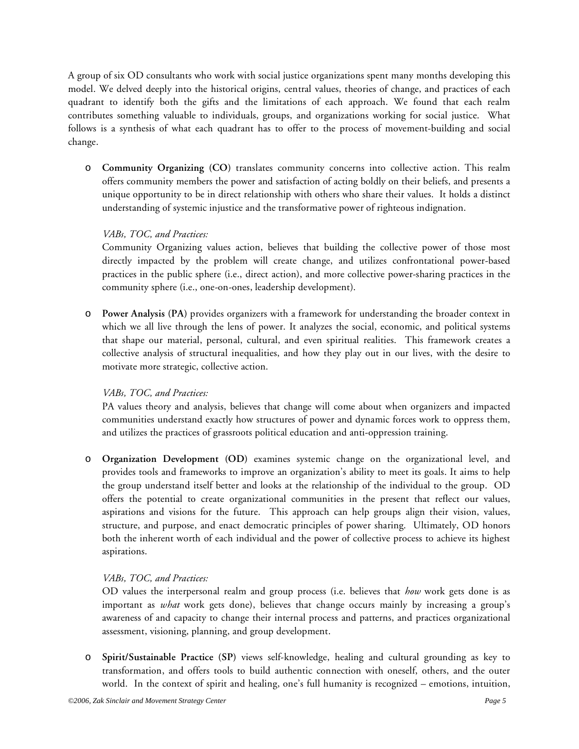A group of six OD consultants who work with social justice organizations spent many months developing this model. We delved deeply into the historical origins, central values, theories of change, and practices of each quadrant to identify both the gifts and the limitations of each approach. We found that each realm contributes something valuable to individuals, groups, and organizations working for social justice. What follows is a synthesis of what each quadrant has to offer to the process of movement-building and social change.

o **Community Organizing (CO)** translates community concerns into collective action. This realm offers community members the power and satisfaction of acting boldly on their beliefs, and presents a unique opportunity to be in direct relationship with others who share their values. It holds a distinct understanding of systemic injustice and the transformative power of righteous indignation.

## *VABs, TOC, and Practices:*

Community Organizing values action, believes that building the collective power of those most directly impacted by the problem will create change, and utilizes confrontational power-based practices in the public sphere (i.e., direct action), and more collective power-sharing practices in the community sphere (i.e., one-on-ones, leadership development).

o **Power Analysis (PA)** provides organizers with a framework for understanding the broader context in which we all live through the lens of power. It analyzes the social, economic, and political systems that shape our material, personal, cultural, and even spiritual realities. This framework creates a collective analysis of structural inequalities, and how they play out in our lives, with the desire to motivate more strategic, collective action.

## *VABs, TOC, and Practices:*

PA values theory and analysis, believes that change will come about when organizers and impacted communities understand exactly how structures of power and dynamic forces work to oppress them, and utilizes the practices of grassroots political education and anti-oppression training.

o **Organization Development (OD)** examines systemic change on the organizational level, and provides tools and frameworks to improve an organization's ability to meet its goals. It aims to help the group understand itself better and looks at the relationship of the individual to the group. OD offers the potential to create organizational communities in the present that reflect our values, aspirations and visions for the future. This approach can help groups align their vision, values, structure, and purpose, and enact democratic principles of power sharing. Ultimately, OD honors both the inherent worth of each individual and the power of collective process to achieve its highest aspirations.

## *VABs, TOC, and Practices:*

OD values the interpersonal realm and group process (i.e. believes that *how* work gets done is as important as *what* work gets done), believes that change occurs mainly by increasing a group's awareness of and capacity to change their internal process and patterns, and practices organizational assessment, visioning, planning, and group development.

o **Spirit/Sustainable Practice (SP)** views self-knowledge, healing and cultural grounding as key to transformation, and offers tools to build authentic connection with oneself, others, and the outer world. In the context of spirit and healing, one's full humanity is recognized – emotions, intuition,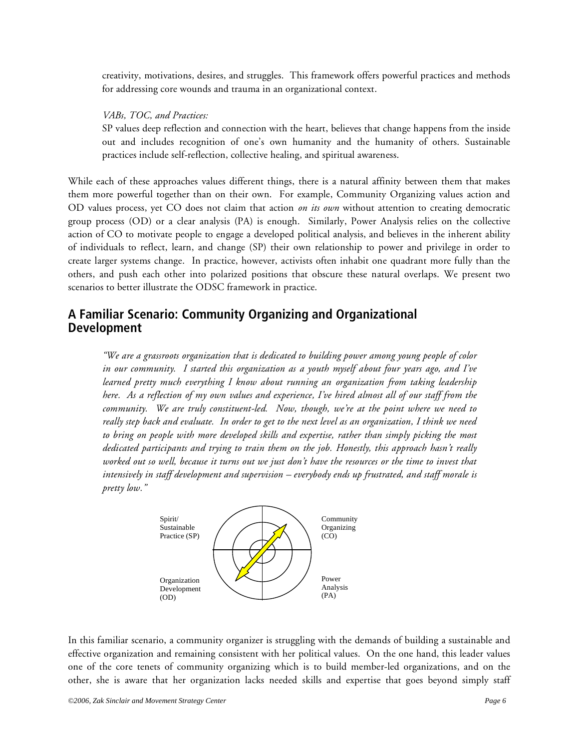creativity, motivations, desires, and struggles. This framework offers powerful practices and methods for addressing core wounds and trauma in an organizational context.

#### *VABs, TOC, and Practices:*

SP values deep reflection and connection with the heart, believes that change happens from the inside out and includes recognition of one's own humanity and the humanity of others. Sustainable practices include self-reflection, collective healing, and spiritual awareness.

While each of these approaches values different things, there is a natural affinity between them that makes them more powerful together than on their own. For example, Community Organizing values action and OD values process, yet CO does not claim that action *on its own* without attention to creating democratic group process (OD) or a clear analysis (PA) is enough. Similarly, Power Analysis relies on the collective action of CO to motivate people to engage a developed political analysis, and believes in the inherent ability of individuals to reflect, learn, and change (SP) their own relationship to power and privilege in order to create larger systems change. In practice, however, activists often inhabit one quadrant more fully than the others, and push each other into polarized positions that obscure these natural overlaps. We present two scenarios to better illustrate the ODSC framework in practice.

## **A Familiar Scenario: Community Organizing and Organizational Development**

*"We are a grassroots organization that is dedicated to building power among young people of color in our community. I started this organization as a youth myself about four years ago, and I've learned pretty much everything I know about running an organization from taking leadership here. As a reflection of my own values and experience, I've hired almost all of our staff from the community. We are truly constituent-led. Now, though, we're at the point where we need to really step back and evaluate. In order to get to the next level as an organization, I think we need to bring on people with more developed skills and expertise, rather than simply picking the most dedicated participants and trying to train them on the job. Honestly, this approach hasn't really worked out so well, because it turns out we just don't have the resources or the time to invest that intensively in staff development and supervision – everybody ends up frustrated, and staff morale is pretty low."* 



In this familiar scenario, a community organizer is struggling with the demands of building a sustainable and effective organization and remaining consistent with her political values. On the one hand, this leader values one of the core tenets of community organizing which is to build member-led organizations, and on the other, she is aware that her organization lacks needed skills and expertise that goes beyond simply staff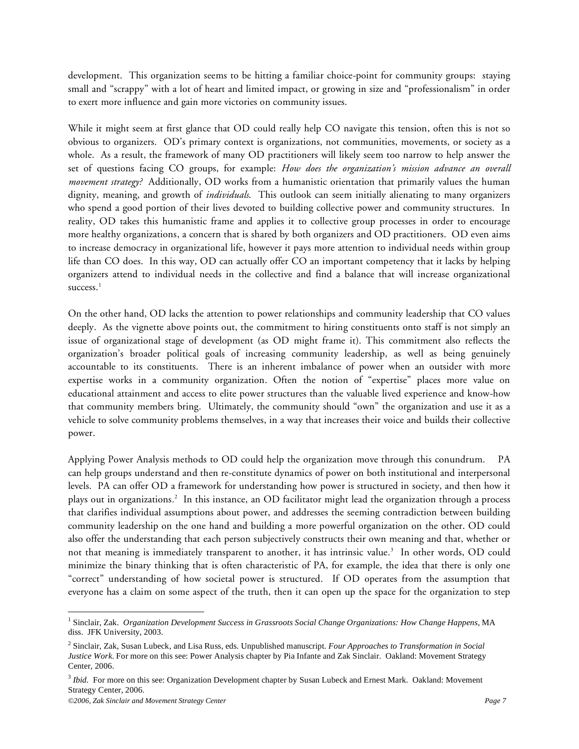development. This organization seems to be hitting a familiar choice-point for community groups: staying small and "scrappy" with a lot of heart and limited impact, or growing in size and "professionalism" in order to exert more influence and gain more victories on community issues.

While it might seem at first glance that OD could really help CO navigate this tension, often this is not so obvious to organizers. OD's primary context is organizations, not communities, movements, or society as a whole. As a result, the framework of many OD practitioners will likely seem too narrow to help answer the set of questions facing CO groups, for example: *How does the organization's mission advance an overall movement strategy?* Additionally, OD works from a humanistic orientation that primarily values the human dignity, meaning, and growth of *individuals*. This outlook can seem initially alienating to many organizers who spend a good portion of their lives devoted to building collective power and community structures. In reality, OD takes this humanistic frame and applies it to collective group processes in order to encourage more healthy organizations, a concern that is shared by both organizers and OD practitioners. OD even aims to increase democracy in organizational life, however it pays more attention to individual needs within group life than CO does. In this way, OD can actually offer CO an important competency that it lacks by helping organizers attend to individual needs in the collective and find a balance that will increase organizational success.<sup>1</sup>

On the other hand, OD lacks the attention to power relationships and community leadership that CO values deeply. As the vignette above points out, the commitment to hiring constituents onto staff is not simply an issue of organizational stage of development (as OD might frame it). This commitment also reflects the organization's broader political goals of increasing community leadership, as well as being genuinely accountable to its constituents. There is an inherent imbalance of power when an outsider with more expertise works in a community organization. Often the notion of "expertise" places more value on educational attainment and access to elite power structures than the valuable lived experience and know-how that community members bring. Ultimately, the community should "own" the organization and use it as a vehicle to solve community problems themselves, in a way that increases their voice and builds their collective power.

Applying Power Analysis methods to OD could help the organization move through this conundrum. PA can help groups understand and then re-constitute dynamics of power on both institutional and interpersonal levels. PA can offer OD a framework for understanding how power is structured in society, and then how it plays out in organizations.<sup>2</sup> In this instance, an OD facilitator might lead the organization through a process that clarifies individual assumptions about power, and addresses the seeming contradiction between building community leadership on the one hand and building a more powerful organization on the other. OD could also offer the understanding that each person subjectively constructs their own meaning and that, whether or not that meaning is immediately transparent to another, it has intrinsic value.<sup>3</sup> In other words, OD could minimize the binary thinking that is often characteristic of PA, for example, the idea that there is only one "correct" understanding of how societal power is structured. If OD operates from the assumption that everyone has a claim on some aspect of the truth, then it can open up the space for the organization to step

 $\overline{a}$ 

<sup>1</sup> Sinclair, Zak. *Organization Development Success in Grassroots Social Change Organizations: How Change Happens*, MA diss. JFK University, 2003.

<sup>2</sup> Sinclair, Zak, Susan Lubeck, and Lisa Russ, eds. Unpublished manuscript. *Four Approaches to Transformation in Social Justice Work*. For more on this see: Power Analysis chapter by Pia Infante and Zak Sinclair. Oakland: Movement Strategy Center, 2006.

<sup>&</sup>lt;sup>3</sup> *Ibid.* For more on this see: Organization Development chapter by Susan Lubeck and Ernest Mark. Oakland: Movement Strategy Center, 2006.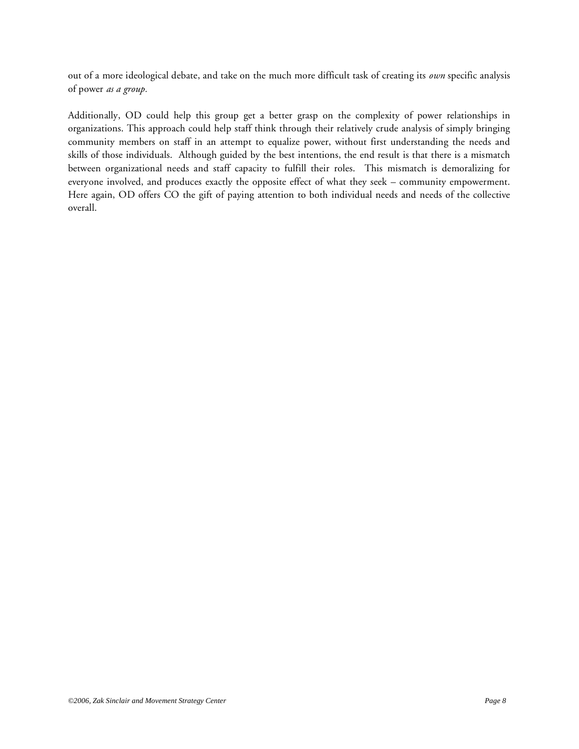out of a more ideological debate, and take on the much more difficult task of creating its *own* specific analysis of power *as a group.*

Additionally, OD could help this group get a better grasp on the complexity of power relationships in organizations. This approach could help staff think through their relatively crude analysis of simply bringing community members on staff in an attempt to equalize power, without first understanding the needs and skills of those individuals. Although guided by the best intentions, the end result is that there is a mismatch between organizational needs and staff capacity to fulfill their roles. This mismatch is demoralizing for everyone involved, and produces exactly the opposite effect of what they seek – community empowerment. Here again, OD offers CO the gift of paying attention to both individual needs and needs of the collective overall.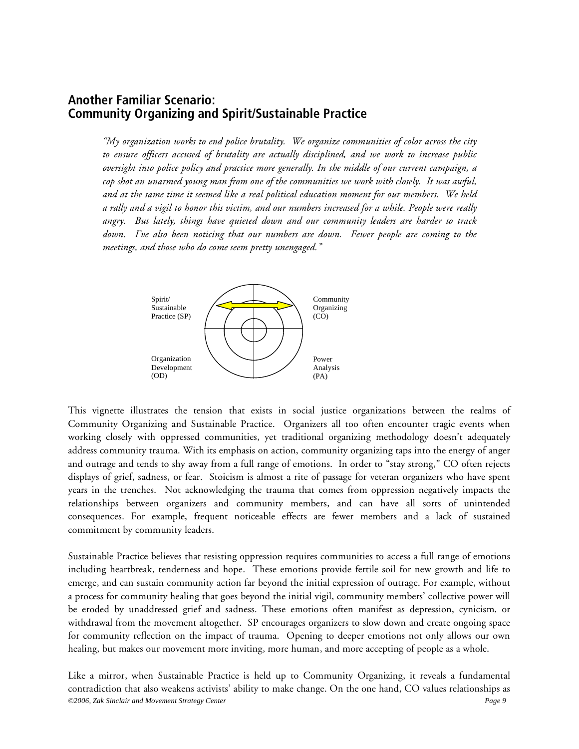## **Another Familiar Scenario: Community Organizing and Spirit/Sustainable Practice**

*"My organization works to end police brutality. We organize communities of color across the city to ensure officers accused of brutality are actually disciplined, and we work to increase public oversight into police policy and practice more generally. In the middle of our current campaign, a cop shot an unarmed young man from one of the communities we work with closely. It was awful, and at the same time it seemed like a real political education moment for our members. We held a rally and a vigil to honor this victim, and our numbers increased for a while. People were really angry. But lately, things have quieted down and our community leaders are harder to track down. I've also been noticing that our numbers are down. Fewer people are coming to the meetings, and those who do come seem pretty unengaged."* 



This vignette illustrates the tension that exists in social justice organizations between the realms of Community Organizing and Sustainable Practice. Organizers all too often encounter tragic events when working closely with oppressed communities, yet traditional organizing methodology doesn't adequately address community trauma. With its emphasis on action, community organizing taps into the energy of anger and outrage and tends to shy away from a full range of emotions. In order to "stay strong," CO often rejects displays of grief, sadness, or fear. Stoicism is almost a rite of passage for veteran organizers who have spent years in the trenches. Not acknowledging the trauma that comes from oppression negatively impacts the relationships between organizers and community members, and can have all sorts of unintended consequences. For example, frequent noticeable effects are fewer members and a lack of sustained commitment by community leaders.

Sustainable Practice believes that resisting oppression requires communities to access a full range of emotions including heartbreak, tenderness and hope. These emotions provide fertile soil for new growth and life to emerge, and can sustain community action far beyond the initial expression of outrage. For example, without a process for community healing that goes beyond the initial vigil, community members' collective power will be eroded by unaddressed grief and sadness. These emotions often manifest as depression, cynicism, or withdrawal from the movement altogether. SP encourages organizers to slow down and create ongoing space for community reflection on the impact of trauma. Opening to deeper emotions not only allows our own healing, but makes our movement more inviting, more human, and more accepting of people as a whole.

*©2006, Zak Sinclair and Movement Strategy Center Page 9*  Like a mirror, when Sustainable Practice is held up to Community Organizing, it reveals a fundamental contradiction that also weakens activists' ability to make change. On the one hand, CO values relationships as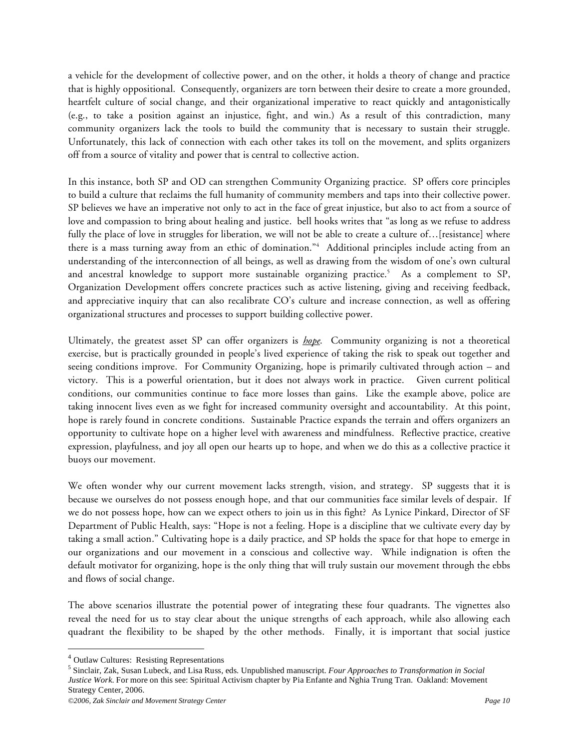a vehicle for the development of collective power, and on the other, it holds a theory of change and practice that is highly oppositional. Consequently, organizers are torn between their desire to create a more grounded, heartfelt culture of social change, and their organizational imperative to react quickly and antagonistically (e.g., to take a position against an injustice, fight, and win.) As a result of this contradiction, many community organizers lack the tools to build the community that is necessary to sustain their struggle. Unfortunately, this lack of connection with each other takes its toll on the movement, and splits organizers off from a source of vitality and power that is central to collective action.

In this instance, both SP and OD can strengthen Community Organizing practice. SP offers core principles to build a culture that reclaims the full humanity of community members and taps into their collective power. SP believes we have an imperative not only to act in the face of great injustice, but also to act from a source of love and compassion to bring about healing and justice. bell hooks writes that "as long as we refuse to address fully the place of love in struggles for liberation, we will not be able to create a culture of…[resistance] where there is a mass turning away from an ethic of domination."4 Additional principles include acting from an understanding of the interconnection of all beings, as well as drawing from the wisdom of one's own cultural and ancestral knowledge to support more sustainable organizing practice.<sup>5</sup> As a complement to SP, Organization Development offers concrete practices such as active listening, giving and receiving feedback, and appreciative inquiry that can also recalibrate CO's culture and increase connection, as well as offering organizational structures and processes to support building collective power.

Ultimately, the greatest asset SP can offer organizers is *hope*. Community organizing is not a theoretical exercise, but is practically grounded in people's lived experience of taking the risk to speak out together and seeing conditions improve. For Community Organizing, hope is primarily cultivated through action – and victory. This is a powerful orientation, but it does not always work in practice. Given current political conditions, our communities continue to face more losses than gains. Like the example above, police are taking innocent lives even as we fight for increased community oversight and accountability. At this point, hope is rarely found in concrete conditions. Sustainable Practice expands the terrain and offers organizers an opportunity to cultivate hope on a higher level with awareness and mindfulness. Reflective practice, creative expression, playfulness, and joy all open our hearts up to hope, and when we do this as a collective practice it buoys our movement.

We often wonder why our current movement lacks strength, vision, and strategy. SP suggests that it is because we ourselves do not possess enough hope, and that our communities face similar levels of despair. If we do not possess hope, how can we expect others to join us in this fight? As Lynice Pinkard, Director of SF Department of Public Health, says: "Hope is not a feeling. Hope is a discipline that we cultivate every day by taking a small action." Cultivating hope is a daily practice, and SP holds the space for that hope to emerge in our organizations and our movement in a conscious and collective way. While indignation is often the default motivator for organizing, hope is the only thing that will truly sustain our movement through the ebbs and flows of social change.

The above scenarios illustrate the potential power of integrating these four quadrants. The vignettes also reveal the need for us to stay clear about the unique strengths of each approach, while also allowing each quadrant the flexibility to be shaped by the other methods. Finally, it is important that social justice

 $\overline{a}$ 

<sup>&</sup>lt;sup>4</sup> Outlaw Cultures: Resisting Representations

<sup>5</sup> Sinclair, Zak, Susan Lubeck, and Lisa Russ, eds. Unpublished manuscript. *Four Approaches to Transformation in Social Justice Work*. For more on this see: Spiritual Activism chapter by Pia Enfante and Nghia Trung Tran. Oakland: Movement Strategy Center, 2006.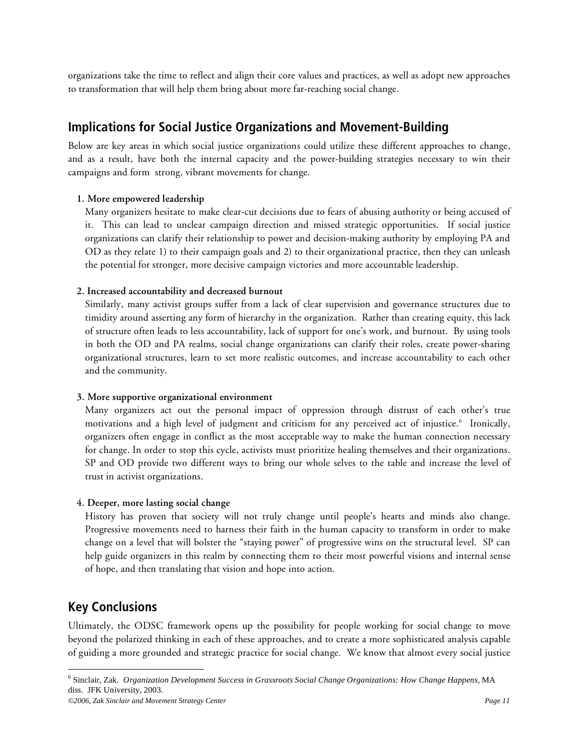organizations take the time to reflect and align their core values and practices, as well as adopt new approaches to transformation that will help them bring about more far-reaching social change.

# **Implications for Social Justice Organizations and Movement-Building**

Below are key areas in which social justice organizations could utilize these different approaches to change, and as a result, have both the internal capacity and the power-building strategies necessary to win their campaigns and form strong, vibrant movements for change.

## **1. More empowered leadership**

Many organizers hesitate to make clear-cut decisions due to fears of abusing authority or being accused of it. This can lead to unclear campaign direction and missed strategic opportunities. If social justice organizations can clarify their relationship to power and decision-making authority by employing PA and OD as they relate 1) to their campaign goals and 2) to their organizational practice, then they can unleash the potential for stronger, more decisive campaign victories and more accountable leadership.

## **2. Increased accountability and decreased burnout**

Similarly, many activist groups suffer from a lack of clear supervision and governance structures due to timidity around asserting any form of hierarchy in the organization. Rather than creating equity, this lack of structure often leads to less accountability, lack of support for one's work, and burnout. By using tools in both the OD and PA realms, social change organizations can clarify their roles, create power-sharing organizational structures, learn to set more realistic outcomes, and increase accountability to each other and the community.

## **3. More supportive organizational environment**

Many organizers act out the personal impact of oppression through distrust of each other's true motivations and a high level of judgment and criticism for any perceived act of injustice.<sup>6</sup> Ironically, organizers often engage in conflict as the most acceptable way to make the human connection necessary for change. In order to stop this cycle, activists must prioritize healing themselves and their organizations. SP and OD provide two different ways to bring our whole selves to the table and increase the level of trust in activist organizations.

## **4. Deeper, more lasting social change**

History has proven that society will not truly change until people's hearts and minds also change. Progressive movements need to harness their faith in the human capacity to transform in order to make change on a level that will bolster the "staying power" of progressive wins on the structural level. SP can help guide organizers in this realm by connecting them to their most powerful visions and internal sense of hope, and then translating that vision and hope into action.

# **Key Conclusions**

 $\overline{a}$ 

Ultimately, the ODSC framework opens up the possibility for people working for social change to move beyond the polarized thinking in each of these approaches, and to create a more sophisticated analysis capable of guiding a more grounded and strategic practice for social change. We know that almost every social justice

<sup>6</sup> Sinclair, Zak. *Organization Development Success in Grassroots Social Change Organizations: How Change Happens*, MA diss. JFK University, 2003.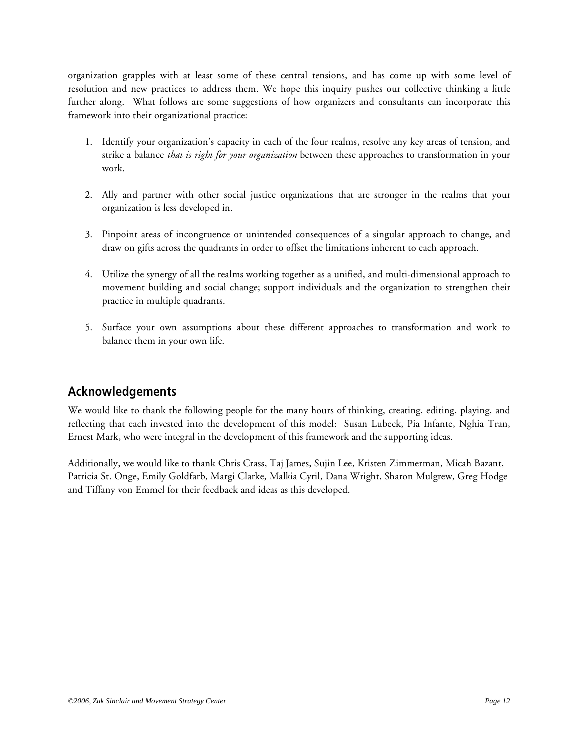organization grapples with at least some of these central tensions, and has come up with some level of resolution and new practices to address them. We hope this inquiry pushes our collective thinking a little further along. What follows are some suggestions of how organizers and consultants can incorporate this framework into their organizational practice:

- 1. Identify your organization's capacity in each of the four realms, resolve any key areas of tension, and strike a balance *that is right for your organization* between these approaches to transformation in your work.
- 2. Ally and partner with other social justice organizations that are stronger in the realms that your organization is less developed in.
- 3. Pinpoint areas of incongruence or unintended consequences of a singular approach to change, and draw on gifts across the quadrants in order to offset the limitations inherent to each approach.
- 4. Utilize the synergy of all the realms working together as a unified, and multi-dimensional approach to movement building and social change; support individuals and the organization to strengthen their practice in multiple quadrants.
- 5. Surface your own assumptions about these different approaches to transformation and work to balance them in your own life.

# **Acknowledgements**

We would like to thank the following people for the many hours of thinking, creating, editing, playing, and reflecting that each invested into the development of this model: Susan Lubeck, Pia Infante, Nghia Tran, Ernest Mark, who were integral in the development of this framework and the supporting ideas.

Additionally, we would like to thank Chris Crass, Taj James, Sujin Lee, Kristen Zimmerman, Micah Bazant, Patricia St. Onge, Emily Goldfarb, Margi Clarke, Malkia Cyril, Dana Wright, Sharon Mulgrew, Greg Hodge and Tiffany von Emmel for their feedback and ideas as this developed.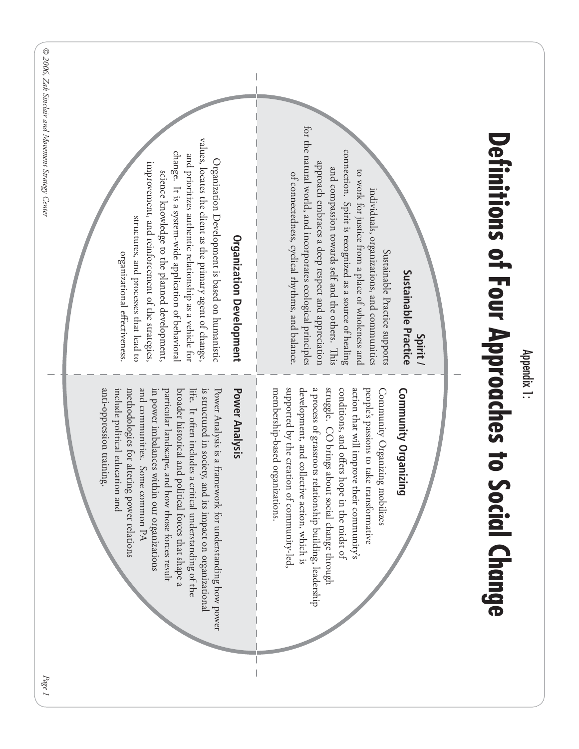| © 2006, Zak Sinclair and Movement Strategy Center | values, locates the client as the primary agent of change,<br>change. It is a system-wide application of behavioral<br>and prioritizes authentic relationship as a vehicle for<br>Organization Development is based on humanistic<br>improvement, and reinforcement of the strategies,<br>science knowledge to the planned development,<br>structures, and processes that lead to<br>organizational effectiveness.                                                                                     | <b>Organization Development</b> | for the natural world, and incorporates ecological principles<br>connection. Spirit is recognized as a source of healing<br>approach embraces a deep respect and appreciation<br>and compassion towards self and the others. This<br>to work for justice from a place of wholeness and<br>of connectedness, cyclical rhythms, and balance<br>individuals, organizations, and communities<br>Sustainable Practice supports<br>Sustainable Practice<br>Spirit / | Definitions of Four Approaches to<br>Appendix 1: |
|---------------------------------------------------|--------------------------------------------------------------------------------------------------------------------------------------------------------------------------------------------------------------------------------------------------------------------------------------------------------------------------------------------------------------------------------------------------------------------------------------------------------------------------------------------------------|---------------------------------|---------------------------------------------------------------------------------------------------------------------------------------------------------------------------------------------------------------------------------------------------------------------------------------------------------------------------------------------------------------------------------------------------------------------------------------------------------------|--------------------------------------------------|
| Page 1                                            | and communities.<br>anti-oppression training.<br>include political education and<br>methodologies for altering power relations<br>in power imbalances within our organizations<br>particular landscape, and how those forces result<br>broader historical and political forces that shape a<br>is structured in society, and its impact on organizational<br>Power Analysis is a<br>life. It often includes a critical understanding of the<br>Some common PA<br>framework for understanding how power | Power Analysis                  | supported by the creation of community-led<br>a process of grassroots relationship building, leadership<br>struggle. CO brings about social change through<br>development, and collective action, which is<br>conditions, and offers hope in the midst of<br>action that will improve their community's<br>people's passions to take transformative<br>membership-based organizations.<br>Community Organizing mobilizes<br>Community Organizing              | <b>Social Change</b>                             |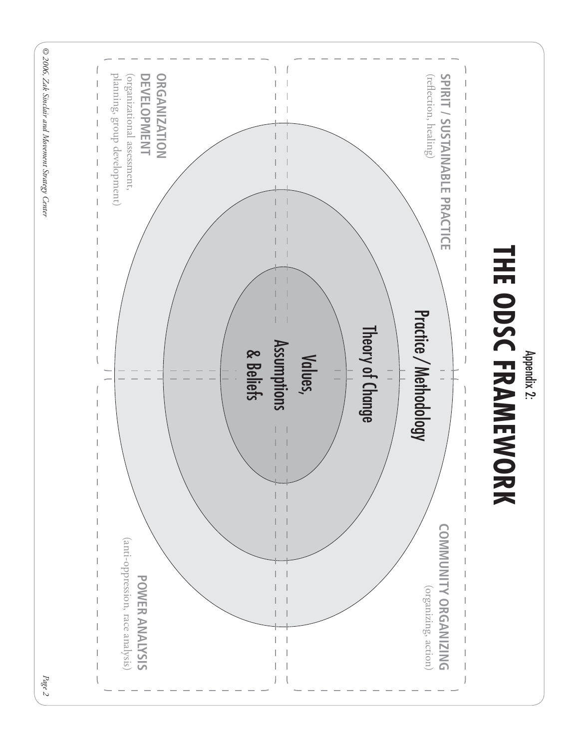